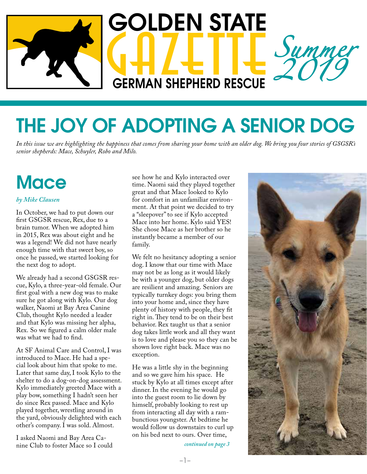

# THE JOY OF ADOPTING A SENIOR DOG

*In this issue we are highlighting the happiness that comes from sharing your home with an older dog. We bring you four stories of GSGSR's senior shepherds: Mace, Schuyler, Robo and Milo.*

## **Mace**

#### *by Mike Clausen*

In October, we had to put down our first GSGSR rescue, Rex, due to a brain tumor. When we adopted him in 2015, Rex was about eight and he was a legend! We did not have nearly enough time with that sweet boy, so once he passed, we started looking for the next dog to adopt.

We already had a second GSGSR rescue, Kylo, a three-year-old female. Our first goal with a new dog was to make sure he got along with Kylo. Our dog walker, Naomi at Bay Area Canine Club, thought Kylo needed a leader and that Kylo was missing her alpha, Rex. So we figured a calm older male was what we had to find.

At SF Animal Care and Control, I was introduced to Mace. He had a special look about him that spoke to me. Later that same day, I took Kylo to the shelter to do a dog-on-dog assessment. Kylo immediately greeted Mace with a play bow, something I hadn't seen her do since Rex passed. Mace and Kylo played together, wrestling around in the yard, obviously delighted with each other's company. I was sold. Almost.

I asked Naomi and Bay Area Canine Club to foster Mace so I could see how he and Kylo interacted over time. Naomi said they played together great and that Mace looked to Kylo for comfort in an unfamiliar environment. At that point we decided to try a "sleepover" to see if Kylo accepted Mace into her home. Kylo said YES! She chose Mace as her brother so he instantly became a member of our family.

We felt no hesitancy adopting a senior dog. I know that our time with Mace may not be as long as it would likely be with a younger dog, but older dogs are resilient and amazing. Seniors are typically turnkey dogs: you bring them into your home and, since they have plenty of history with people, they fit right in. They tend to be on their best behavior. Rex taught us that a senior dog takes little work and all they want is to love and please you so they can be shown love right back. Mace was no exception.

He was a little shy in the beginning and so we gave him his space. He stuck by Kylo at all times except after dinner. In the evening he would go into the guest room to lie down by himself, probably looking to rest up from interacting all day with a rambunctious youngster. At bedtime he would follow us downstairs to curl up on his bed next to ours. Over time,

*continued on page 3*

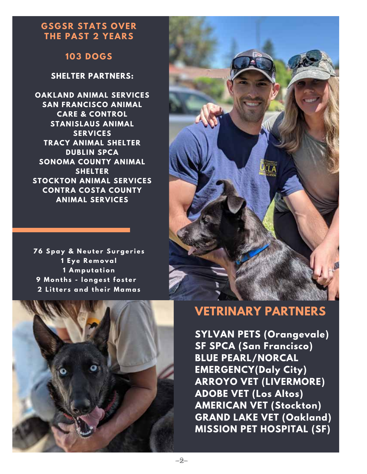### **GSGSR STATS OVER THE PAST 2 YEARS**

### **103 DOGS**

### **SHELTER PARTNERS:**

**OAKLAND ANIMAL SERVICES SAN FRANCISCO ANIMAL CARE & CONTROL STANISLAUS ANIMAL SERVICES TRACY ANIMAL SHELTER DUBLIN SPCA SONOMA COUNTY ANIMAL SHELTER STOCKTON ANIMAL SERVICES CONTRA COSTA COUNTY ANIMAL SERVICES**

 **Spay & N e u t e r Su rge r i e s E y e R e m o val A m pu tati o n M o n t h s - l o nge s t f o s t e r L itt e r s and t h e i r M a m as**





### **VETRINARY PARTNERS**

**SYLVAN PETS (Orangevale) SF SPCA (San Francisco) BLUE PEARL/NORCAL EMERGENCY(Daly City) ARROYO VET (LIVERMORE) ADOBE VET (Los Altos) AMERICAN VET (Stockton) GRAND LAKE VET (Oakland) MISSION PET HOSPITAL (SF)**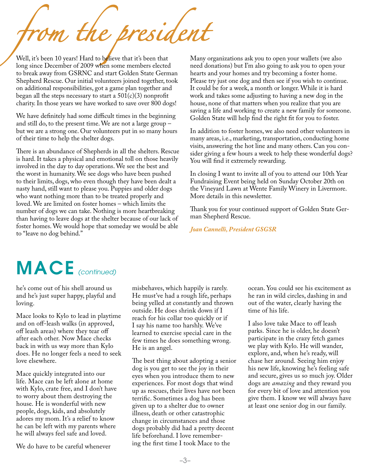*from the president*

Well, it's been 10 years! Hard to believe that it's been that long since December of 2009 when some members elected to break away from GSRNC and start Golden State German Shepherd Rescue. Our initial volunteers joined together, took on additional responsibilities, got a game plan together and began all the steps necessary to start a  $501(c)(3)$  nonprofit charity. In those years we have worked to save over 800 dogs!

We have definitely had some difficult times in the beginning and still do, to the present time. We are not a large group – but we are a strong one. Our volunteers put in so many hours of their time to help the shelter dogs.

There is an abundance of Shepherds in all the shelters. Rescue is hard. It takes a physical and emotional toll on those heavily involved in the day to day operations. We see the best and the worst in humanity. We see dogs who have been pushed to their limits, dogs, who even though they have been dealt a nasty hand, still want to please you. Puppies and older dogs who want nothing more than to be treated properly and loved. We are limited on foster homes – which limits the number of dogs we can take. Nothing is more heartbreaking than having to leave dogs at the shelter because of our lack of foster homes. We would hope that someday we would be able to "leave no dog behind."

Many organizations ask you to open your wallets (we also need donations) but I'm also going to ask you to open your hearts and your homes and try becoming a foster home. Please try just one dog and then see if you wish to continue. It could be for a week, a month or longer. While it is hard work and takes some adjusting to having a new dog in the house, none of that matters when you realize that you are saving a life and working to create a new family for someone. Golden State will help find the right fit for you to foster.

In addition to foster homes, we also need other volunteers in many areas, i.e., marketing, transportation, conducting home visits, answering the hot line and many others. Can you consider giving a few hours a week to help these wonderful dogs? You will find it extremely rewarding.

In closing I want to invite all of you to attend our 10th Year Fundraising Event being held on Sunday October 20th on the Vineyard Lawn at Wente Family Winery in Livermore. More details in this newsletter.

Thank you for your continued support of Golden State German Shepherd Rescue.

#### *Joan Cannelli, President GSGSR*

## MACE (continued)

he's come out of his shell around us and he's just super happy, playful and loving.

Mace looks to Kylo to lead in playtime and on off-leash walks (in approved, off leash areas) where they tear off after each other. Now Mace checks back in with us way more than Kylo does. He no longer feels a need to seek love elsewhere.

Mace quickly integrated into our life. Mace can be left alone at home with Kylo, crate free, and I don't have to worry about them destroying the house. He is wonderful with new people, dogs, kids, and absolutely adores my mom. It's a relief to know he can be left with my parents where he will always feel safe and loved.

We do have to be careful whenever

misbehaves, which happily is rarely. He must've had a rough life, perhaps being yelled at constantly and thrown outside. He does shrink down if I reach for his collar too quickly or if I say his name too harshly. We've learned to exercise special care in the few times he does something wrong. He is an angel.

The best thing about adopting a senior dog is you get to see the joy in their eyes when you introduce them to new experiences. For most dogs that wind up as rescues, their lives have not been terrific. Sometimes a dog has been given up to a shelter due to owner illness, death or other catastrophic change in circumstances and those dogs probably did had a pretty decent life beforehand. I love remembering the first time I took Mace to the

ocean. You could see his excitement as he ran in wild circles, dashing in and out of the water, clearly having the time of his life.

I also love take Mace to off leash parks. Since he is older, he doesn't participate in the crazy fetch games we play with Kylo. He will wander, explore, and, when he's ready, will chase her around. Seeing him enjoy his new life, knowing he's feeling safe and secure, gives us so much joy. Older dogs are *amazing* and they reward you for every bit of love and attention you give them. I know we will always have at least one senior dog in our family.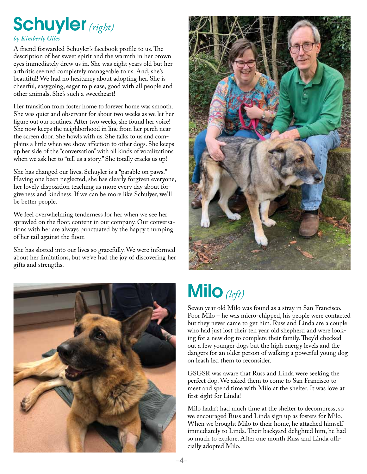## Schuyler *(right)*

### *by Kimberly Giles*

A friend forwarded Schuyler's facebook profile to us. The description of her sweet spirit and the warmth in her brown eyes immediately drew us in. She was eight years old but her arthritis seemed completely manageable to us. And, she's beautiful! We had no hesitancy about adopting her. She is cheerful, easygoing, eager to please, good with all people and other animals. She's such a sweetheart!

Her transition from foster home to forever home was smooth. She was quiet and observant for about two weeks as we let her figure out our routines. After two weeks, she found her voice! She now keeps the neighborhood in line from her perch near the screen door. She howls with us. She talks to us and complains a little when we show affection to other dogs. She keeps up her side of the "conversation" with all kinds of vocalizations when we ask her to "tell us a story." She totally cracks us up!

She has changed our lives. Schuyler is a "parable on paws." Having one been neglected, she has clearly forgiven everyone, her lovely disposition teaching us more every day about forgiveness and kindness. If we can be more like Schulyer, we'll be better people.

We feel overwhelming tenderness for her when we see her sprawled on the floor, content in our company. Our conversations with her are always punctuated by the happy thumping of her tail against the floor.

She has slotted into our lives so gracefully. We were informed about her limitations, but we've had the joy of discovering her gifts and strengths.





## Milo *(left)*

Seven year old Milo was found as a stray in San Francisco. Poor Milo – he was micro-chipped, his people were contacted but they never came to get him. Russ and Linda are a couple who had just lost their ten year old shepherd and were looking for a new dog to complete their family. They'd checked out a few younger dogs but the high energy levels and the dangers for an older person of walking a powerful young dog on leash led them to reconsider.

GSGSR was aware that Russ and Linda were seeking the perfect dog. We asked them to come to San Francisco to meet and spend time with Milo at the shelter. It was love at first sight for Linda!

Milo hadn't had much time at the shelter to decompress, so we encouraged Russ and Linda sign up as fosters for Milo. When we brought Milo to their home, he attached himself immediately to Linda. Their backyard delighted him, he had so much to explore. After one month Russ and Linda officially adopted Milo.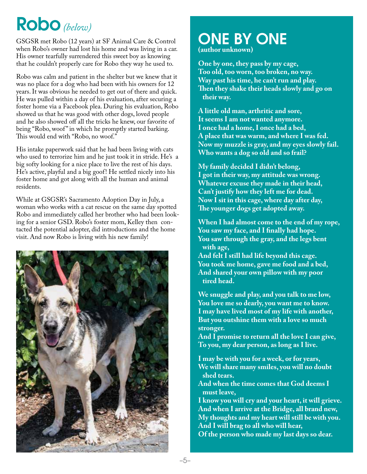## Robo *(below)*

GSGSR met Robo (12 years) at SF Animal Care & Control when Robo's owner had lost his home and was living in a car. His owner tearfully surrendered this sweet boy as knowing that he couldn't properly care for Robo they way he used to.

Robo was calm and patient in the shelter but we knew that it was no place for a dog who had been with his owners for 12 years. It was obvious he needed to get out of there and quick. He was pulled within a day of his evaluation, after securing a foster home via a Facebook plea. During his evaluation, Robo showed us that he was good with other dogs, loved people and he also showed off all the tricks he knew, our favorite of being "Robo, woof " in which he promptly started barking. This would end with "Robo, no woof."

His intake paperwork said that he had been living with cats who used to terrorize him and he just took it in stride. He's a big softy looking for a nice place to live the rest of his days. He's active, playful and a big goof! He settled nicely into his foster home and got along with all the human and animal residents.

While at GSGSR's Sacramento Adoption Day in July, a woman who works with a cat rescue on the same day spotted Robo and immediately called her brother who had been looking for a senior GSD. Robo's foster mom, Kelley then contacted the potential adopter, did introductions and the home visit. And now Robo is living with his new family!



## ONE BY ONE

**(author unknown)** 

**One by one, they pass by my cage, Too old, too worn, too broken, no way. Way past his time, he can't run and play. Then they shake their heads slowly and go on their way.**

**A little old man, arthritic and sore, It seems I am not wanted anymore. I once had a home, I once had a bed, A place that was warm, and where I was fed. Now my muzzle is gray, and my eyes slowly fail. Who wants a dog so old and so frail?** 

**Republica**<br>References **available 1**<br>Descriptions **My family decided I didn't belong, I got in their way, my attitude was wrong. Whatever excuse they made in their head, Can't justify how they left me for dead. Now I sit in this cage, where day after day, The younger dogs get adopted away.** 

**When I had almost come to the end of my rope, You saw my face, and I finally had hope. You saw through the gray, and the legs bent with age,**

**And felt I still had life beyond this cage. You took me home, gave me food and a bed, And shared your own pillow with my poor tired head.** 

**We snuggle and play, and you talk to me low, You love me so dearly, you want me to know. I may have lived most of my life with another, But you outshine them with a love so much stronger.**

**And I promise to return all the love I can give, To you, my dear person, as long as I live.** 

**I may be with you for a week, or for years, We will share many smiles, you will no doubt shed tears.** 

**And when the time comes that God deems I must leave,** 

Of the person who made my last days so dear.<br>———————————————————— **I know you will cry and your heart, it will grieve. And when I arrive at the Bridge, all brand new, My thoughts and my heart will still be with you. And I will brag to all who will hear,**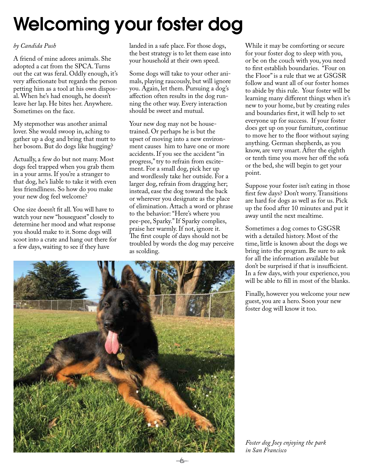# Welcoming your foster dog

### *by Candida Push*

A friend of mine adores animals. She adopted a cat from the SPCA. Turns out the cat was feral. Oddly enough, it's very affectionate but regards the person petting him as a tool at his own disposal. When he's had enough, he doesn't leave her lap. He bites her. Anywhere. Sometimes on the face.

My stepmother was another animal lover. She would swoop in, aching to gather up a dog and bring that mutt to her bosom. But do dogs like hugging?

Actually, a few do but not many. Most dogs feel trapped when you grab them in a your arms. If you're a stranger to that dog, he's liable to take it with even less friendliness. So how do you make your new dog feel welcome?

One size doesn't fit all. You will have to watch your new "houseguest" closely to determine her mood and what response you should make to it. Some dogs will scoot into a crate and hang out there for a few days, waiting to see if they have

landed in a safe place. For those dogs, the best strategy is to let them ease into your household at their own speed.

Some dogs will take to your other animals, playing raucously, but will ignore you. Again, let them. Pursuing a dog's affection often results in the dog running the other way. Every interaction should be sweet and mutual.

Your new dog may not be housetrained. Or perhaps he is but the upset of moving into a new environment causes him to have one or more accidents. If you see the accident "in progress," try to refrain from excitement. For a small dog, pick her up and wordlessly take her outside. For a larger dog, refrain from dragging her; instead, ease the dog toward the back or wherever you designate as the place of elimination. Attach a word or phrase to the behavior: "Here's where you pee-pee, Sparky." If Sparky complies, praise her warmly. If not, ignore it. The first couple of days should not be troubled by words the dog may perceive as scolding.

While it may be comforting or secure for your foster dog to sleep with you, or be on the couch with you, you need to first establish boundaries. "Four on the Floor" is a rule that we at GSGSR follow and want all of our foster homes to abide by this rule. Your foster will be learning many different things when it's new to your home, but by creating rules and boundaries first, it will help to set everyone up for success. If your foster does get up on your furniture, continue to move her to the floor without saying anything. German shepherds, as you know, are very smart. After the eighth or tenth time you move her off the sofa or the bed, she will begin to get your point.

Suppose your foster isn't eating in those first few days? Don't worry. Transitions are hard for dogs as well as for us. Pick up the food after 10 minutes and put it away until the next mealtime.

Sometimes a dog comes to GSGSR with a detailed history. Most of the time, little is known about the dogs we bring into the program. Be sure to ask for all the information available but don't be surprised if that is insufficient. In a few days, with your experience, you will be able to fill in most of the blanks.

Finally, however you welcome your new guest, you are a hero. Soon your new foster dog will know it too.

*Foster dog Joey enjoying the park in San Francisco*

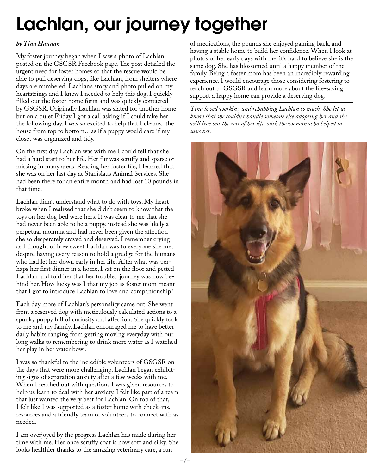# Lachlan, our journey together

#### *by Tina Hannan*

My foster journey began when I saw a photo of Lachlan posted on the GSGSR Facebook page. The post detailed the urgent need for foster homes so that the rescue would be able to pull deserving dogs, like Lachlan, from shelters where days are numbered. Lachlan's story and photo pulled on my heartstrings and I knew I needed to help this dog. I quickly filled out the foster home form and was quickly contacted by GSGSR. Originally Lachlan was slated for another home but on a quiet Friday I got a call asking if I could take her the following day. I was so excited to help that I cleaned the house from top to bottom…as if a puppy would care if my closet was organized and tidy.

On the first day Lachlan was with me I could tell that she had a hard start to her life. Her fur was scruffy and sparse or missing in many areas. Reading her foster file, I learned that she was on her last day at Stanislaus Animal Services. She had been there for an entire month and had lost 10 pounds in that time.

Lachlan didn't understand what to do with toys. My heart broke when I realized that she didn't seem to know that the toys on her dog bed were hers. It was clear to me that she had never been able to be a puppy, instead she was likely a perpetual momma and had never been given the affection she so desperately craved and deserved. I remember crying as I thought of how sweet Lachlan was to everyone she met despite having every reason to hold a grudge for the humans who had let her down early in her life. After what was perhaps her first dinner in a home, I sat on the floor and petted Lachlan and told her that her troubled journey was now behind her. How lucky was I that my job as foster mom meant that I got to introduce Lachlan to love and companionship?

Each day more of Lachlan's personality came out. She went from a reserved dog with meticulously calculated actions to a spunky puppy full of curiosity and affection. She quickly took to me and my family. Lachlan encouraged me to have better daily habits ranging from getting moving everyday with our long walks to remembering to drink more water as I watched her play in her water bowl.

I was so thankful to the incredible volunteers of GSGSR on the days that were more challenging. Lachlan began exhibiting signs of separation anxiety after a few weeks with me. When I reached out with questions I was given resources to help us learn to deal with her anxiety. I felt like part of a team that just wanted the very best for Lachlan. On top of that, I felt like I was supported as a foster home with check-ins, resources and a friendly team of volunteers to connect with as needed.

I am overjoyed by the progress Lachlan has made during her time with me. Her once scruffy coat is now soft and silky. She looks healthier thanks to the amazing veterinary care, a run

of medications, the pounds she enjoyed gaining back, and having a stable home to build her confidence. When I look at photos of her early days with me, it's hard to believe she is the same dog. She has blossomed until a happy member of the family. Being a foster mom has been an incredibly rewarding experience. I would encourage those considering fostering to reach out to GSGSR and learn more about the life-saving support a happy home can provide a deserving dog.

*Tina loved working and rehabbing Lachlan so much. She let us know that she couldn't handle someone else adopting her and she will live out the rest of her life with the woman who helped to save her.*

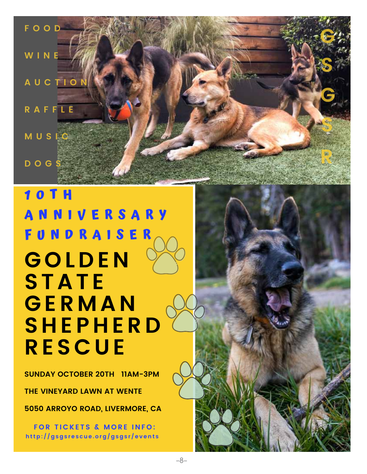**F O O D W I N E A U C T I O N R A F F L E M U S I C D O G S G S G S R**

## **1 0 T H A N N I V E R S A R Y F U N D R A I S E R GOL D E N ST A T E G ER M A N S H E P H ER D RES C U E**

**SUNDAY OCTOBER 20TH 11AM-3PM**

**THE VINEYARD LAWN AT WENTE**

**5050 ARROYO ROAD, LIVERMORE, CA**

**FOR TICKETS & MORE INFO: http: / /gsgs r e s cue . o rg/gsgs r / e v ent s**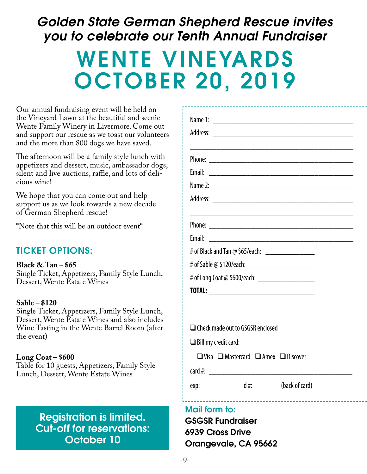### *Golden State German Shepherd Rescue invites you to celebrate our Tenth Annual Fundraiser*

# WENTE VINEYARDS October 20, 2019

Our annual fundraising event will be held on the Vineyard Lawn at the beautiful and scenic Wente Family Winery in Livermore. Come out and support our rescue as we toast our volunteers and the more than 800 dogs we have saved.

The afternoon will be a family style lunch with appetizers and dessert, music, ambassador dogs, silent and live auctions, raffle, and lots of delicious wine!

We hope that you can come out and help support us as we look towards a new decade of German Shepherd rescue!

\*Note that this will be an outdoor event\*

### TICKET OPTIONS:

**Black & Tan – \$65** Single Ticket, Appetizers, Family Style Lunch, Dessert, Wente Estate Wines

### **Sable – \$120**

Single Ticket, Appetizers, Family Style Lunch, Dessert, Wente Estate Wines and also includes Wine Tasting in the Wente Barrel Room (after the event)

### **Long Coat – \$600**

Table for 10 guests, Appetizers, Family Style Lunch, Dessert, Wente Estate Wines

### Registration is limited. Cut-off for reservations: October 10

| Email:<br># of Black and Tan @ \$65/each: __________________<br># of Long Coat @ \$600/each: ______________________ |  |
|---------------------------------------------------------------------------------------------------------------------|--|
| $\Box$ Check made out to GSGSR enclosed<br>$\Box$ Bill my credit card:                                              |  |

 $\Box$  Visa  $\Box$  Mastercard  $\Box$  Amex  $\Box$  Discover

 $card #:$ 

exp:  $id \#:$  (back of card)

### Mail form to:

GSGSR Fundraiser 6939 Cross Drive Orangevale, CA 95662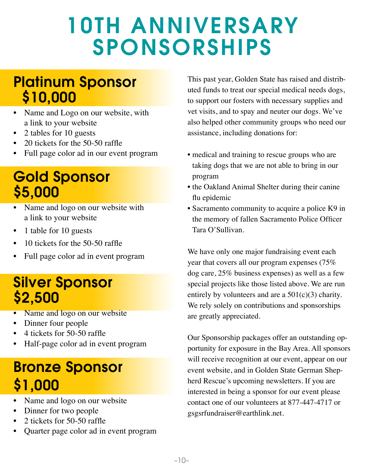# 10th Anniversary **SPONSORSHIPS**

### Platinum Sponsor \$10,000

- Name and Logo on our website, with a link to your website
- 2 tables for 10 guests
- 20 tickets for the 50-50 raffle
- Full page color ad in our event program

## Gold Sponsor \$5,000

- Name and logo on our website with a link to your website
- 1 table for 10 guests
- $10$  tickets for the  $50-50$  raffle
- Full page color ad in event program

## Silver Sponsor \$2,500

- Name and logo on our website
- Dinner four people
- 4 tickets for 50-50 raffle
- Half-page color ad in event program

## Bronze Sponsor \$1,000

- Name and logo on our website
- Dinner for two people
- 2 tickets for 50-50 raffle
- Quarter page color ad in event program

This past year, Golden State has raised and distributed funds to treat our special medical needs dogs, to support our fosters with necessary supplies and vet visits, and to spay and neuter our dogs. We've also helped other community groups who need our assistance, including donations for:

- medical and training to rescue groups who are taking dogs that we are not able to bring in our program
- the Oakland Animal Shelter during their canine flu epidemic
- Sacramento community to acquire a police K9 in the memory of fallen Sacramento Police Officer Tara O'Sullivan.

We have only one major fundraising event each year that covers all our program expenses (75% dog care, 25% business expenses) as well as a few special projects like those listed above. We are run entirely by volunteers and are a  $501(c)(3)$  charity. We rely solely on contributions and sponsorships are greatly appreciated.

Our Sponsorship packages offer an outstanding opportunity for exposure in the Bay Area. All sponsors will receive recognition at our event, appear on our event website, and in Golden State German Shepherd Rescue's upcoming newsletters. If you are interested in being a sponsor for our event please contact one of our volunteers at 877-447-4717 or gsgsrfundraiser@earthlink.net.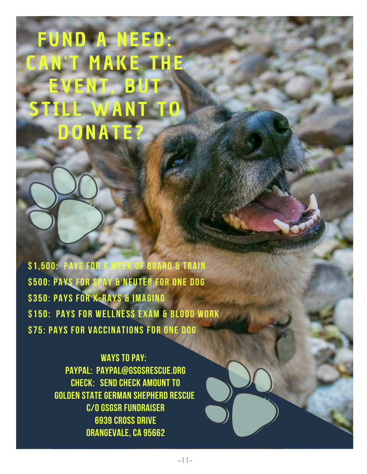# **FUND A NEED MAKE THE** ENT. B L WAN **DONATE?**

\$1,500: Pays for a week of Board & Train \$500: pays for spay & neuter for one dog \$350: pays for x-rays & imaging \$150: pays for wellness exam & blood work \$75: pays for vaccinations for one dog

> **WAYS TO PAY:** PAYPAL: PAYPAL@GSGSRESCUE.ORG CHECK: SEND CHECK AMOUNT TO GOLDEN STATE GERMAN SHEPHERD RESCUE C/O GSGSR FUNDRAISER **6939 CROSS DRIVE** ORANGEVALE, CA 95662